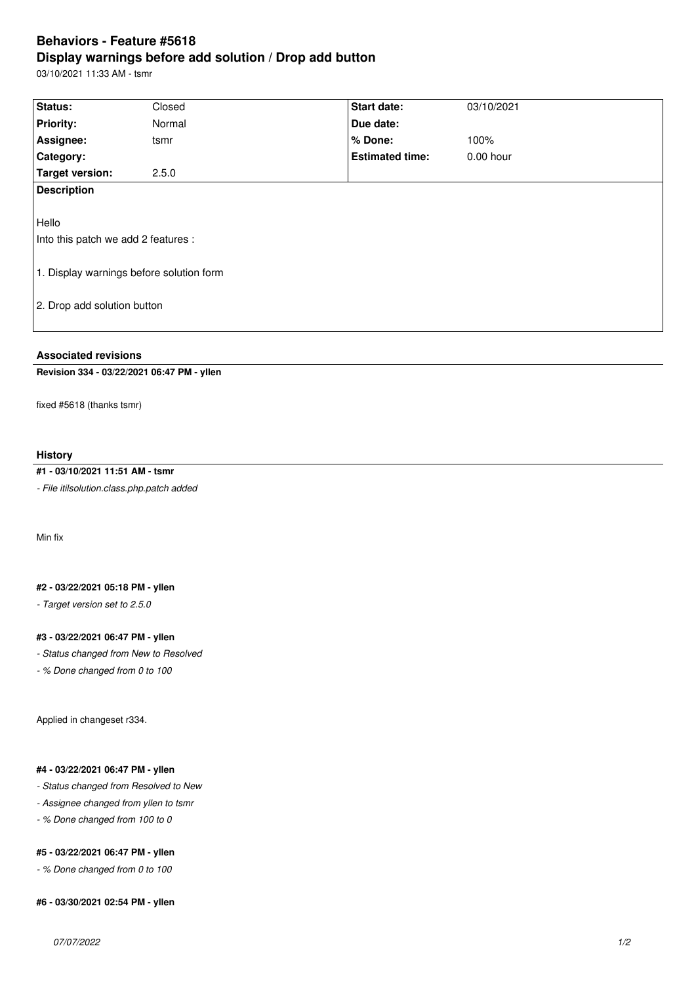# **Behaviors - Feature #5618 Display warnings before add solution / Drop add button**

03/10/2021 11:33 AM - tsmr

| Status:                                                                                                                 | Closed | <b>Start date:</b>     | 03/10/2021 |  |  |
|-------------------------------------------------------------------------------------------------------------------------|--------|------------------------|------------|--|--|
| <b>Priority:</b>                                                                                                        | Normal | Due date:              |            |  |  |
| Assignee:                                                                                                               | tsmr   | % Done:                | 100%       |  |  |
| Category:                                                                                                               |        | <b>Estimated time:</b> | 0.00 hour  |  |  |
| Target version:                                                                                                         | 2.5.0  |                        |            |  |  |
| <b>Description</b>                                                                                                      |        |                        |            |  |  |
| Hello<br>Into this patch we add 2 features :<br>1. Display warnings before solution form<br>2. Drop add solution button |        |                        |            |  |  |

# **Associated revisions**

# **Revision 334 - 03/22/2021 06:47 PM - yllen**

fixed #5618 (thanks tsmr)

## **History**

# **#1 - 03/10/2021 11:51 AM - tsmr**

*- File itilsolution.class.php.patch added*

Min fix

#### **#2 - 03/22/2021 05:18 PM - yllen**

*- Target version set to 2.5.0*

#### **#3 - 03/22/2021 06:47 PM - yllen**

*- Status changed from New to Resolved*

*- % Done changed from 0 to 100*

Applied in changeset r334.

#### **#4 - 03/22/2021 06:47 PM - yllen**

- *Status changed from Resolved to New*
- *Assignee changed from yllen to tsmr*
- *% Done changed from 100 to 0*

## **#5 - 03/22/2021 06:47 PM - yllen**

*- % Done changed from 0 to 100*

#### **#6 - 03/30/2021 02:54 PM - yllen**